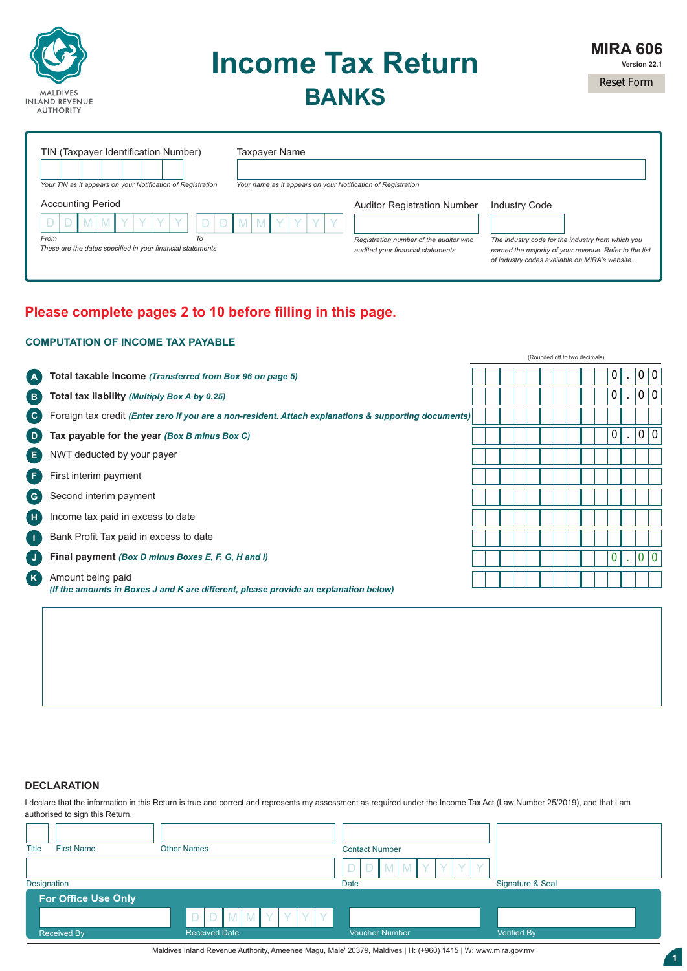

# **Income Tax Return BANKS**

Reset Form

| TIN (Taxpayer Identification Number)                        | Taxpayer Name                                                |                                        |                                                                                                          |
|-------------------------------------------------------------|--------------------------------------------------------------|----------------------------------------|----------------------------------------------------------------------------------------------------------|
| Your TIN as it appears on your Notification of Registration | Your name as it appears on your Notification of Registration |                                        |                                                                                                          |
| <b>Accounting Period</b>                                    |                                                              | <b>Auditor Registration Number</b>     | <b>Industry Code</b>                                                                                     |
|                                                             | <b>M</b>                                                     |                                        |                                                                                                          |
| To<br>From                                                  |                                                              | Registration number of the auditor who | The industry code for the industry from which you                                                        |
| These are the dates specified in your financial statements  |                                                              | audited your financial statements      | earned the majority of your revenue. Refer to the list<br>of industry codes available on MIRA's website. |

# **Please complete pages 2 to 10 before filling in this page.**

### **COMPUTATION OF INCOME TAX PAYABLE**

|                                                 |                                                                                                           |  |  | (Rounded off to two decimals) |  |                |         |              |     |
|-------------------------------------------------|-----------------------------------------------------------------------------------------------------------|--|--|-------------------------------|--|----------------|---------|--------------|-----|
| (A)                                             | Total taxable income (Transferred from Box 96 on page 5)                                                  |  |  |                               |  | 0              |         | 0 0          |     |
| ( B )                                           | Total tax liability (Multiply Box A by 0.25)                                                              |  |  |                               |  | $\overline{0}$ |         | 0 0          |     |
| $\left( \begin{array}{c} c \end{array} \right)$ | Foreign tax credit (Enter zero if you are a non-resident. Attach explanations & supporting documents)     |  |  |                               |  |                |         |              |     |
| D)                                              | Tax payable for the year (Box B minus Box C)                                                              |  |  |                               |  | $\overline{0}$ | $\cdot$ | 0 0          |     |
| ( E )                                           | NWT deducted by your payer                                                                                |  |  |                               |  |                |         |              |     |
| ( F.                                            | First interim payment                                                                                     |  |  |                               |  |                |         |              |     |
| $\bullet$                                       | Second interim payment                                                                                    |  |  |                               |  |                |         |              |     |
| Œ                                               | Income tax paid in excess to date                                                                         |  |  |                               |  |                |         |              |     |
| $\blacksquare$                                  | Bank Profit Tax paid in excess to date                                                                    |  |  |                               |  |                |         |              |     |
| $\bullet$                                       | Final payment (Box D minus Boxes E, F, G, H and I)                                                        |  |  |                               |  |                |         | $\mathbf{0}$ | l 0 |
| ( K )                                           | Amount being paid<br>(If the amounts in Boxes J and K are different, please provide an explanation below) |  |  |                               |  |                |         |              |     |
|                                                 |                                                                                                           |  |  |                               |  |                |         |              |     |

### **DECLARATION**

I declare that the information in this Return is true and correct and represents my assessment as required under the Income Tax Act (Law Number 25/2019), and that I am authorised to sign this Return.

| <b>First Name</b><br><b>Title</b> | <b>Other Names</b>          | <b>Contact Number</b><br>D<br>Y.<br>Y<br>MYY<br>Ð |                  |
|-----------------------------------|-----------------------------|---------------------------------------------------|------------------|
| Designation                       |                             | Date                                              | Signature & Seal |
| For Office Use Only               |                             |                                                   |                  |
|                                   | MMY<br>D<br>V.<br>$\sqrt{}$ |                                                   |                  |
| <b>Received By</b>                | <b>Received Date</b>        | <b>Voucher Number</b>                             | Verified By      |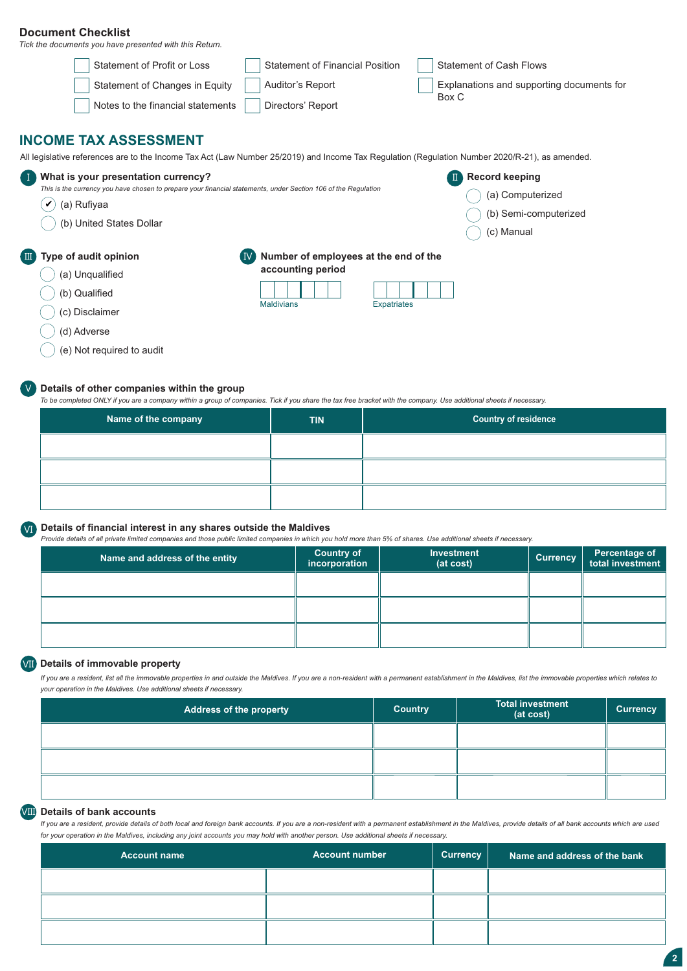### **Document Checklist**

*Tick the documents you have presented with this Return.*

| Statement of Profit or Loss                                                                                                                    | <b>Statement of Financial Position</b>  | <b>Statement of Cash Flows</b>            |
|------------------------------------------------------------------------------------------------------------------------------------------------|-----------------------------------------|-------------------------------------------|
| Statement of Changes in Equity                                                                                                                 | Auditor's Report                        | Explanations and supporting documents for |
| Notes to the financial statements                                                                                                              | Directors' Report                       | Box C                                     |
| <b>INCOME TAX ASSESSMENT</b>                                                                                                                   |                                         |                                           |
| All legislative references are to the Income Tax Act (Law Number 25/2019) and Income Tax Regulation (Regulation Number 2020/R-21), as amended. |                                         |                                           |
| What is your presentation currency?<br>Œ                                                                                                       |                                         | <b>Record keeping</b>                     |
| This is the currency you have chosen to prepare your financial statements, under Section 106 of the Regulation                                 |                                         | (a) Computerized                          |
| (a) Rufiyaa<br>V                                                                                                                               |                                         | (b) Semi-computerized                     |
| (b) United States Dollar                                                                                                                       |                                         | (c) Manual                                |
| Type of audit opinion<br>$\blacksquare$                                                                                                        | Number of employees at the end of the   |                                           |
| (a) Unqualified                                                                                                                                | accounting period                       |                                           |
| (b) Qualified                                                                                                                                  |                                         |                                           |
| (c) Disclaimer                                                                                                                                 | <b>Maldivians</b><br><b>Expatriates</b> |                                           |
| (d) Adverse                                                                                                                                    |                                         |                                           |
| (e) Not required to audit                                                                                                                      |                                         |                                           |

### **Details of other companies within the group**

V

To be completed ONLY if you are a company within a group of companies. Tick if you share the tax free bracket with the company. Use additional sheets if necessary.

| $\mid$ Name of the company $\mid$ | <b>TIN</b> | <b>Country of residence</b> |
|-----------------------------------|------------|-----------------------------|
|                                   |            |                             |
|                                   |            |                             |
|                                   |            |                             |

## **Details of financial interest in any shares outside the Maldives** VI

*Provide details of all private limited companies and those public limited companies in which you hold more than 5% of shares. Use additional sheets if necessary.*

| Name and address of the entity | <b>Country of</b><br>incorporation | <b>Investment</b><br>(at cost) | <b>Currency</b> | Percentage of<br>total investment |
|--------------------------------|------------------------------------|--------------------------------|-----------------|-----------------------------------|
|                                |                                    |                                |                 |                                   |
|                                |                                    |                                |                 |                                   |
|                                |                                    |                                |                 |                                   |

### **Details of immovable property**  VII

*If you are a resident, list all the immovable properties in and outside the Maldives. If you are a non-resident with a permanent establishment in the Maldives, list the immovable properties which relates to your operation in the Maldives. Use additional sheets if necessary.* 

| Address of the property | <b>Country</b> | <b>Total investment</b><br>(at cost) | <b>Currency</b> |
|-------------------------|----------------|--------------------------------------|-----------------|
|                         |                |                                      |                 |
|                         |                |                                      |                 |
|                         |                |                                      |                 |

### **Details of bank accounts** VIII

*If you are a resident, provide details of both local and foreign bank accounts. If you are a non-resident with a permanent establishment in the Maldives, provide details of all bank accounts which are used for your operation in the Maldives, including any joint accounts you may hold with another person. Use additional sheets if necessary.* 

| <b>Account name</b> | <b>Account number</b> | Currency | Name and address of the bank |
|---------------------|-----------------------|----------|------------------------------|
|                     |                       |          |                              |
|                     |                       |          |                              |
|                     |                       |          |                              |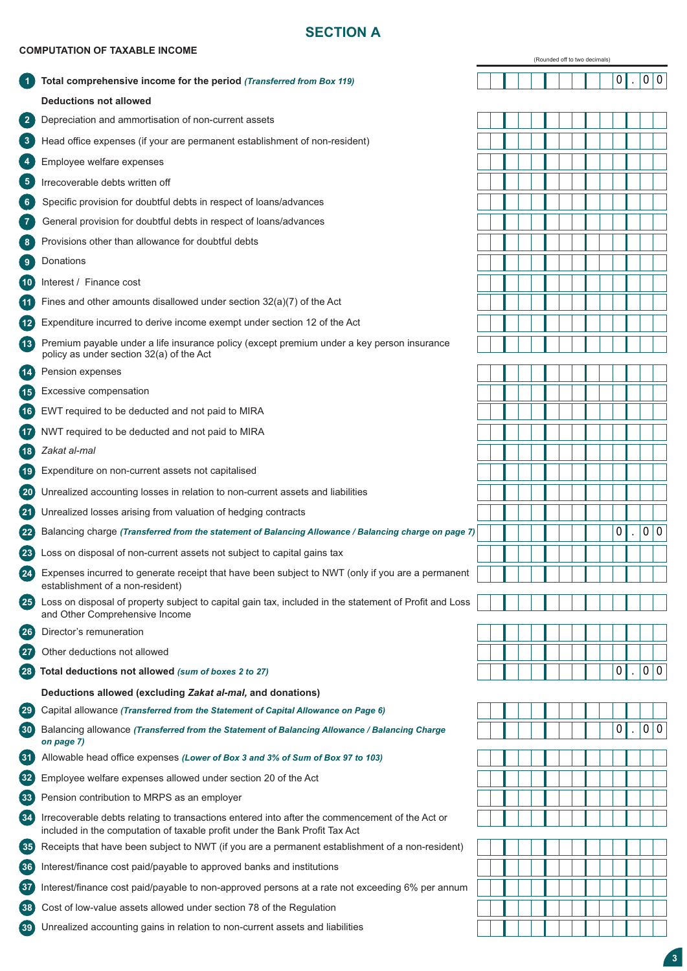# **SECTION A**

### **COMPUTATION OF TAXABLE INCOME**

|                     |                                                                                                                                                                               |  |  |  |  | (Rounded off to two decimals) |  |   |                  |   |  |  |  |
|---------------------|-------------------------------------------------------------------------------------------------------------------------------------------------------------------------------|--|--|--|--|-------------------------------|--|---|------------------|---|--|--|--|
| $\left( 1\right)$   | Total comprehensive income for the period (Transferred from Box 119)                                                                                                          |  |  |  |  |                               |  | 0 | 0                | 0 |  |  |  |
|                     | <b>Deductions not allowed</b>                                                                                                                                                 |  |  |  |  |                               |  |   |                  |   |  |  |  |
| $\left(2\right)$    | Depreciation and ammortisation of non-current assets                                                                                                                          |  |  |  |  |                               |  |   |                  |   |  |  |  |
| $\mathbf{3}$        | Head office expenses (if your are permanent establishment of non-resident)                                                                                                    |  |  |  |  |                               |  |   |                  |   |  |  |  |
| $\sqrt{4}$          | Employee welfare expenses                                                                                                                                                     |  |  |  |  |                               |  |   |                  |   |  |  |  |
| $5^{\circ}$         | Irrecoverable debts written off                                                                                                                                               |  |  |  |  |                               |  |   |                  |   |  |  |  |
| 6 <sup>6</sup>      | Specific provision for doubtful debts in respect of loans/advances                                                                                                            |  |  |  |  |                               |  |   |                  |   |  |  |  |
| $\sqrt{7}$          | General provision for doubtful debts in respect of loans/advances                                                                                                             |  |  |  |  |                               |  |   |                  |   |  |  |  |
| 8 <sup>°</sup>      | Provisions other than allowance for doubtful debts                                                                                                                            |  |  |  |  |                               |  |   |                  |   |  |  |  |
| $\mathbf{9}$        | Donations                                                                                                                                                                     |  |  |  |  |                               |  |   |                  |   |  |  |  |
| (10)                | Interest / Finance cost                                                                                                                                                       |  |  |  |  |                               |  |   |                  |   |  |  |  |
| 41                  | Fines and other amounts disallowed under section $32(a)(7)$ of the Act                                                                                                        |  |  |  |  |                               |  |   |                  |   |  |  |  |
| $\overline{12}$     | Expenditure incurred to derive income exempt under section 12 of the Act                                                                                                      |  |  |  |  |                               |  |   |                  |   |  |  |  |
| $\overline{13}$     | Premium payable under a life insurance policy (except premium under a key person insurance<br>policy as under section 32(a) of the Act                                        |  |  |  |  |                               |  |   |                  |   |  |  |  |
| (14)                | Pension expenses                                                                                                                                                              |  |  |  |  |                               |  |   |                  |   |  |  |  |
| $\overline{15}$     | Excessive compensation                                                                                                                                                        |  |  |  |  |                               |  |   |                  |   |  |  |  |
| (16)                | EWT required to be deducted and not paid to MIRA                                                                                                                              |  |  |  |  |                               |  |   |                  |   |  |  |  |
| (17)                | NWT required to be deducted and not paid to MIRA                                                                                                                              |  |  |  |  |                               |  |   |                  |   |  |  |  |
| (18)                | Zakat al-mal                                                                                                                                                                  |  |  |  |  |                               |  |   |                  |   |  |  |  |
| $^{\prime}$ 19      | Expenditure on non-current assets not capitalised                                                                                                                             |  |  |  |  |                               |  |   |                  |   |  |  |  |
| $\left( 20 \right)$ | Unrealized accounting losses in relation to non-current assets and liabilities                                                                                                |  |  |  |  |                               |  |   |                  |   |  |  |  |
| (21)                | Unrealized losses arising from valuation of hedging contracts                                                                                                                 |  |  |  |  |                               |  |   |                  |   |  |  |  |
| (22)                | Balancing charge (Transferred from the statement of Balancing Allowance / Balancing charge on page 7)                                                                         |  |  |  |  |                               |  | 0 | $\boldsymbol{0}$ | 0 |  |  |  |
| (23)                | Loss on disposal of non-current assets not subject to capital gains tax                                                                                                       |  |  |  |  |                               |  |   |                  |   |  |  |  |
| $\left( 24\right)$  | Expenses incurred to generate receipt that have been subject to NWT (only if you are a permanent<br>establishment of a non-resident)                                          |  |  |  |  |                               |  |   |                  |   |  |  |  |
| (25)                | Loss on disposal of property subject to capital gain tax, included in the statement of Profit and Loss<br>and Other Comprehensive Income                                      |  |  |  |  |                               |  |   |                  |   |  |  |  |
| (26)                | Director's remuneration                                                                                                                                                       |  |  |  |  |                               |  |   |                  |   |  |  |  |
| (27)                | Other deductions not allowed                                                                                                                                                  |  |  |  |  |                               |  |   |                  |   |  |  |  |
| (28)                | Total deductions not allowed (sum of boxes 2 to 27)                                                                                                                           |  |  |  |  |                               |  | 0 | $\overline{0}$   | 0 |  |  |  |
|                     | Deductions allowed (excluding Zakat al-mal, and donations)                                                                                                                    |  |  |  |  |                               |  |   |                  |   |  |  |  |
| $\left( 29\right)$  | Capital allowance (Transferred from the Statement of Capital Allowance on Page 6)                                                                                             |  |  |  |  |                               |  |   |                  |   |  |  |  |
| $\left( 30 \right)$ | Balancing allowance (Transferred from the Statement of Balancing Allowance / Balancing Charge<br>on page 7)                                                                   |  |  |  |  |                               |  | 0 | $\overline{0}$   | 0 |  |  |  |
| $\left( 31\right)$  | Allowable head office expenses (Lower of Box 3 and 3% of Sum of Box 97 to 103)                                                                                                |  |  |  |  |                               |  |   |                  |   |  |  |  |
| $\left( 32\right)$  | Employee welfare expenses allowed under section 20 of the Act                                                                                                                 |  |  |  |  |                               |  |   |                  |   |  |  |  |
| $\left( 33 \right)$ | Pension contribution to MRPS as an employer                                                                                                                                   |  |  |  |  |                               |  |   |                  |   |  |  |  |
| $\mathbf{34}$       | Irrecoverable debts relating to transactions entered into after the commencement of the Act or<br>included in the computation of taxable profit under the Bank Profit Tax Act |  |  |  |  |                               |  |   |                  |   |  |  |  |
| (35)                | Receipts that have been subject to NWT (if you are a permanent establishment of a non-resident)                                                                               |  |  |  |  |                               |  |   |                  |   |  |  |  |
| 36)                 | Interest/finance cost paid/payable to approved banks and institutions                                                                                                         |  |  |  |  |                               |  |   |                  |   |  |  |  |
| $\left(37\right)$   | Interest/finance cost paid/payable to non-approved persons at a rate not exceeding 6% per annum                                                                               |  |  |  |  |                               |  |   |                  |   |  |  |  |
| (38)                | Cost of low-value assets allowed under section 78 of the Regulation                                                                                                           |  |  |  |  |                               |  |   |                  |   |  |  |  |
| $\left( 39\right)$  | Unrealized accounting gains in relation to non-current assets and liabilities                                                                                                 |  |  |  |  |                               |  |   |                  |   |  |  |  |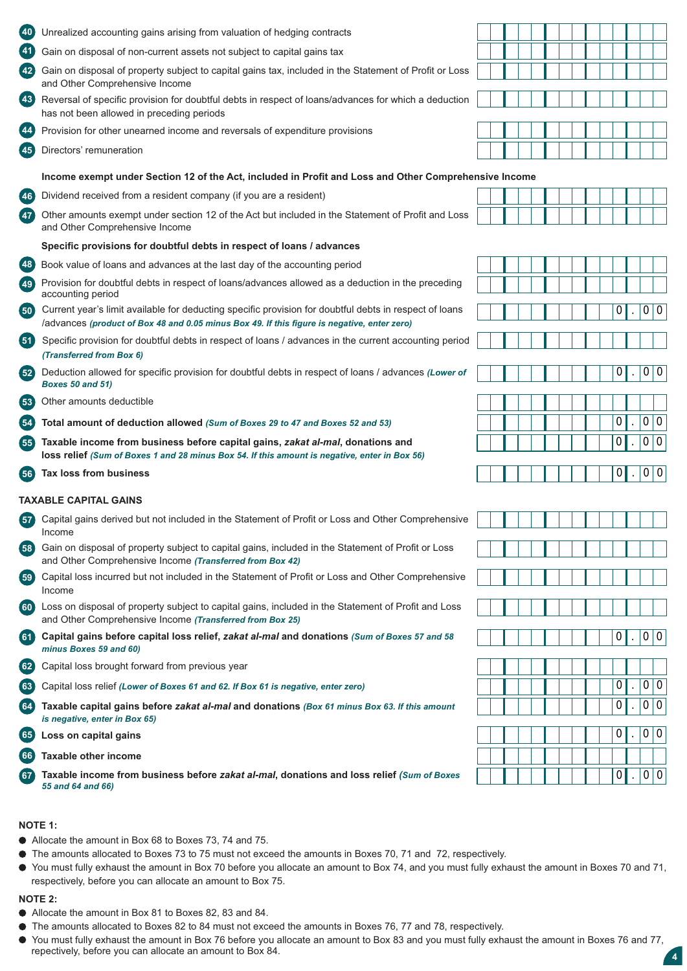| 40              | Unrealized accounting gains arising from valuation of hedging contracts                                                                                                                               |  |  |  |   |   |                |    |
|-----------------|-------------------------------------------------------------------------------------------------------------------------------------------------------------------------------------------------------|--|--|--|---|---|----------------|----|
| $\frac{41}{4}$  | Gain on disposal of non-current assets not subject to capital gains tax                                                                                                                               |  |  |  |   |   |                |    |
| 42              | Gain on disposal of property subject to capital gains tax, included in the Statement of Profit or Loss<br>and Other Comprehensive Income                                                              |  |  |  |   |   |                |    |
| (43)            | Reversal of specific provision for doubtful debts in respect of loans/advances for which a deduction<br>has not been allowed in preceding periods                                                     |  |  |  |   |   |                |    |
| 44              | Provision for other unearned income and reversals of expenditure provisions                                                                                                                           |  |  |  |   |   |                |    |
| 45              | Directors' remuneration                                                                                                                                                                               |  |  |  |   |   |                |    |
|                 | Income exempt under Section 12 of the Act, included in Profit and Loss and Other Comprehensive Income                                                                                                 |  |  |  |   |   |                |    |
| (46)            | Dividend received from a resident company (if you are a resident)                                                                                                                                     |  |  |  |   |   |                |    |
| $\overline{47}$ | Other amounts exempt under section 12 of the Act but included in the Statement of Profit and Loss<br>and Other Comprehensive Income                                                                   |  |  |  |   |   |                |    |
|                 | Specific provisions for doubtful debts in respect of loans / advances                                                                                                                                 |  |  |  |   |   |                |    |
| 48              | Book value of loans and advances at the last day of the accounting period                                                                                                                             |  |  |  |   |   |                |    |
| (49)            | Provision for doubtful debts in respect of loans/advances allowed as a deduction in the preceding<br>accounting period                                                                                |  |  |  |   |   |                |    |
| (50)            | Current year's limit available for deducting specific provision for doubtful debts in respect of loans<br>/advances (product of Box 48 and 0.05 minus Box 49. If this figure is negative, enter zero) |  |  |  | 0 |   | 0 <sup>1</sup> | 10 |
| (51)            | Specific provision for doubtful debts in respect of loans / advances in the current accounting period<br>(Transferred from Box 6)                                                                     |  |  |  |   |   |                |    |
| (52)            | Deduction allowed for specific provision for doubtful debts in respect of loans / advances (Lower of<br><b>Boxes 50 and 51)</b>                                                                       |  |  |  | 0 |   | 0 0            |    |
| 53              | Other amounts deductible                                                                                                                                                                              |  |  |  |   |   |                |    |
| $\frac{54}{5}$  | Total amount of deduction allowed (Sum of Boxes 29 to 47 and Boxes 52 and 53)                                                                                                                         |  |  |  | 0 |   | 0 0            |    |
| (55)            | Taxable income from business before capital gains, zakat al-mal, donations and<br>loss relief (Sum of Boxes 1 and 28 minus Box 54. If this amount is negative, enter in Box 56)                       |  |  |  | 0 |   | 0 0            |    |
| 56              | Tax loss from business                                                                                                                                                                                |  |  |  |   | 0 | 0 0            |    |
|                 | <b>TAXABLE CAPITAL GAINS</b>                                                                                                                                                                          |  |  |  |   |   |                |    |
| 57              | Capital gains derived but not included in the Statement of Profit or Loss and Other Comprehensive<br>Income                                                                                           |  |  |  |   |   |                |    |
| 58              | Gain on disposal of property subject to capital gains, included in the Statement of Profit or Loss<br>and Other Comprehensive Income (Transferred from Box 42)                                        |  |  |  |   |   |                |    |
| (59)            | Capital loss incurred but not included in the Statement of Profit or Loss and Other Comprehensive<br>Income                                                                                           |  |  |  |   |   |                |    |
| (60)            | Loss on disposal of property subject to capital gains, included in the Statement of Profit and Loss<br>and Other Comprehensive Income (Transferred from Box 25)                                       |  |  |  |   |   |                |    |
| (61)            | Capital gains before capital loss relief, zakat al-mal and donations (Sum of Boxes 57 and 58<br>minus Boxes 59 and 60)                                                                                |  |  |  | 0 |   | 0 0            |    |
| 62)             | Capital loss brought forward from previous year                                                                                                                                                       |  |  |  |   |   |                |    |
| (63)            | Capital loss relief (Lower of Boxes 61 and 62. If Box 61 is negative, enter zero)                                                                                                                     |  |  |  | 0 |   | 0 0            |    |
| (64)            | Taxable capital gains before zakat al-mal and donations (Box 61 minus Box 63. If this amount<br>is negative, enter in Box 65)                                                                         |  |  |  | 0 |   | 0 0            |    |
| 65)             | Loss on capital gains                                                                                                                                                                                 |  |  |  | 0 |   | 0 0            |    |
| (66)            | <b>Taxable other income</b>                                                                                                                                                                           |  |  |  |   |   |                |    |
| 67              | Taxable income from business before zakat al-mal, donations and loss relief (Sum of Boxes<br>55 and 64 and 66)                                                                                        |  |  |  | 0 |   | 0 0            |    |
|                 |                                                                                                                                                                                                       |  |  |  |   |   |                |    |

### **54 NOTE 1:**

- Allocate the amount in Box 68 to Boxes 73, 74 and 75.
- The amounts allocated to Boxes 73 to 75 must not exceed the amounts in Boxes 70, 71 and 72, respectively.
- You must fully exhaust the amount in Box 70 before you allocate an amount to Box 74, and you must fully exhaust the amount in Boxes 70 and 71, respectively, before you can allocate an amount to Box 75.

#### **NOTE 2:**

- Allocate the amount in Box 81 to Boxes 82, 83 and 84.
- The amounts allocated to Boxes 82 to 84 must not exceed the amounts in Boxes 76, 77 and 78, respectively.
- You must fully exhaust the amount in Box 76 before you allocate an amount to Box 83 and you must fully exhaust the amount in Boxes 76 and 77, repectively, before you can allocate an amount to Box 84.

**4**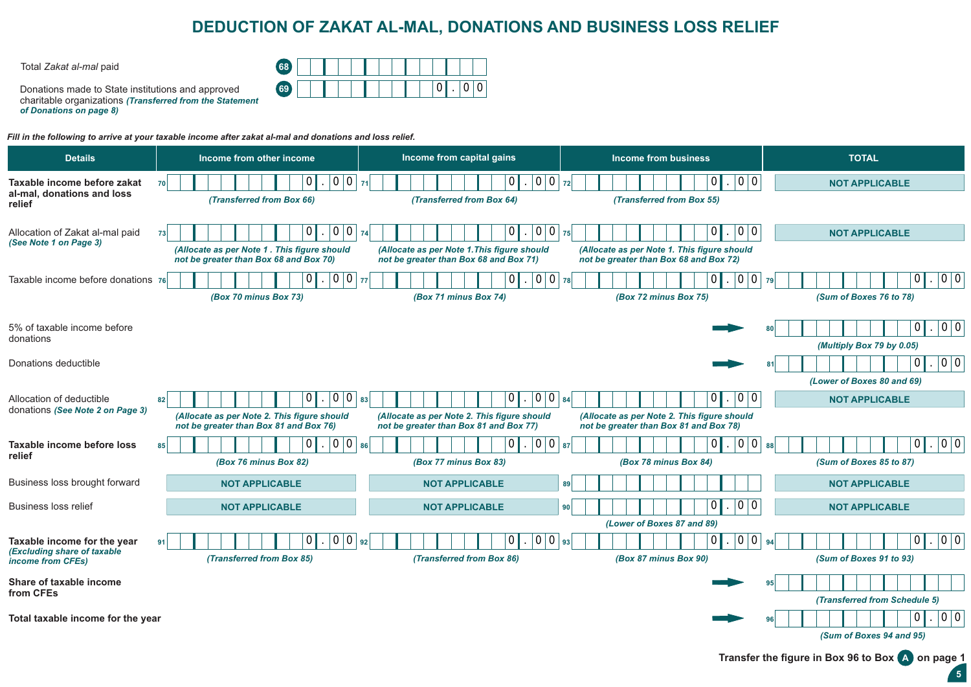# **DEDUCTION OF ZAKAT AL-MAL, DONATIONS AND BUSINESS LOSS RELIEF**

Total *Zakat al-mal* paid **68**

| <b>AR</b> |  |  |  |  |  |   |  |
|-----------|--|--|--|--|--|---|--|
|           |  |  |  |  |  | ٠ |  |

Donations made to State institutions and approved charitable organizations *(Transferred from the Statement of Donations on page 8)*

*Fill in the following to arrive at your taxable income after zakat al-mal and donations and loss relief.*

| <b>Details</b>                                             | Income from other income                                                              | Income from capital gains                                                             | Income from business                                                                  | <b>TOTAL</b>                                       |
|------------------------------------------------------------|---------------------------------------------------------------------------------------|---------------------------------------------------------------------------------------|---------------------------------------------------------------------------------------|----------------------------------------------------|
| Taxable income before zakat                                | 0 0 <br>$\mathbf 0$<br>70                                                             | 0 0 <br>$\overline{0}$<br>71                                                          | 0 0<br>$\Omega$<br>72                                                                 | <b>NOT APPLICABLE</b>                              |
| al-mal, donations and loss<br>relief                       | (Transferred from Box 66)                                                             | (Transferred from Box 64)                                                             | (Transferred from Box 55)                                                             |                                                    |
| Allocation of Zakat al-mal paid<br>(See Note 1 on Page 3)  | $\vert 0 \vert$<br> 0 <br>0<br>73                                                     | 0 0 <br>$\mathbf 0$<br>74                                                             | 0 0<br>$\overline{0}$<br>75                                                           | <b>NOT APPLICABLE</b>                              |
|                                                            | (Allocate as per Note 1. This figure should<br>not be greater than Box 68 and Box 70) | (Allocate as per Note 1. This figure should<br>not be greater than Box 68 and Box 71) | (Allocate as per Note 1. This figure should<br>not be greater than Box 68 and Box 72) |                                                    |
| Taxable income before donations 76                         | .  0 0 <br> 0                                                                         | 0 0 <br>$\overline{0}$<br>77                                                          | 0 0 <br> 0 <br>78                                                                     | 0 0 <br>$\mathbf 0$<br>79                          |
|                                                            | (Box 70 minus Box 73)                                                                 | (Box 71 minus Box 74)                                                                 | (Box 72 minus Box 75)                                                                 | (Sum of Boxes 76 to 78)                            |
| 5% of taxable income before<br>donations                   |                                                                                       |                                                                                       |                                                                                       | 0 0 <br> 0 <br>(Multiply Box 79 by 0.05)           |
| Donations deductible                                       |                                                                                       |                                                                                       |                                                                                       | 0 0<br>$\Omega$                                    |
|                                                            |                                                                                       |                                                                                       |                                                                                       | (Lower of Boxes 80 and 69)                         |
| Allocation of deductible                                   | $ 0 0 $ 83<br>0<br>82                                                                 | $ 0 0 $ 84<br>$\Omega$                                                                | 0 0<br>$\Omega$                                                                       | <b>NOT APPLICABLE</b>                              |
| donations (See Note 2 on Page 3)                           | (Allocate as per Note 2. This figure should<br>not be greater than Box 81 and Box 76) | (Allocate as per Note 2. This figure should<br>not be greater than Box 81 and Box 77) | (Allocate as per Note 2. This figure should<br>not be greater than Box 81 and Box 78) |                                                    |
| Taxable income before loss<br>relief                       | 0 0 <br>$\mathbf{0}$<br>85                                                            | $\Omega$<br> 0 0 <br>86                                                               | 0 <br>0 0 <br>87                                                                      | 0 0 <br> 0 <br>88                                  |
|                                                            | (Box 76 minus Box 82)                                                                 | (Box 77 minus Box 83)                                                                 | (Box 78 minus Box 84)                                                                 | (Sum of Boxes 85 to 87)                            |
| Business loss brought forward                              | <b>NOT APPLICABLE</b>                                                                 | <b>NOT APPLICABLE</b>                                                                 | 89                                                                                    | <b>NOT APPLICABLE</b>                              |
| <b>Business loss relief</b>                                | <b>NOT APPLICABLE</b>                                                                 | <b>NOT APPLICABLE</b>                                                                 | 0 0<br>0 <sup>1</sup><br>90                                                           | <b>NOT APPLICABLE</b>                              |
|                                                            |                                                                                       |                                                                                       | (Lower of Boxes 87 and 89)                                                            |                                                    |
| Taxable income for the year<br>(Excluding share of taxable | $\overline{0}$<br>0<br>0<br>91                                                        | $ 0 0 $ 93<br>$\Omega$<br>92                                                          | 0 0<br>$\overline{0}$                                                                 | 0 0<br>$\mathbf 0$<br>94                           |
| income from CFEs)                                          | (Transferred from Box 85)                                                             | (Transferred from Box 86)                                                             | (Box 87 minus Box 90)                                                                 | (Sum of Boxes 91 to 93)                            |
| Share of taxable income<br>from CFEs                       |                                                                                       |                                                                                       |                                                                                       | (Transferred from Schedule 5)                      |
| Total taxable income for the year                          |                                                                                       |                                                                                       |                                                                                       | 0 0<br> 0                                          |
|                                                            |                                                                                       |                                                                                       |                                                                                       | (Sum of Boxes 94 and 95)                           |
|                                                            |                                                                                       |                                                                                       |                                                                                       | Transfer the figure in Box 96 to Box (A) on page 1 |

**5**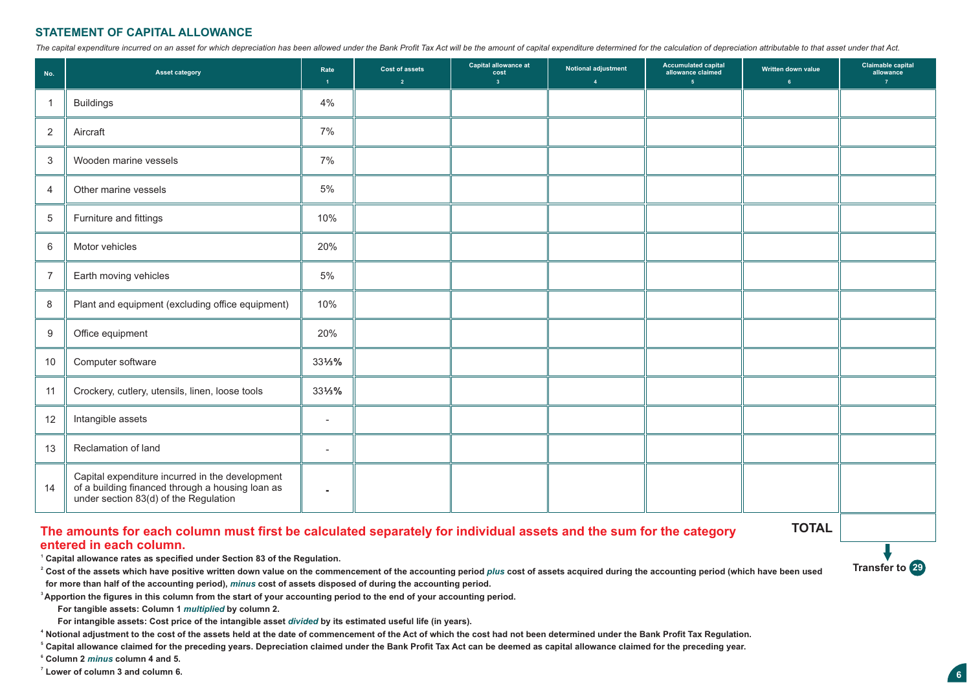### **STATEMENT OF CAPITAL ALLOWANCE**

The capital expenditure incurred on an asset for which depreciation has been allowed under the Bank Profit Tax Act will be the amount of capital expenditure determined for the calculation of depreciation attributable to th

| No.            | <b>Asset category</b>                                                                                                                        | Rate<br>$\overline{1}$   | <b>Cost of assets</b><br>$\overline{2}$ | Capital allowance at<br>cost<br>3 <sup>2</sup> | Notional adjustment<br>$\overline{4}$ | <b>Accumulated capital</b><br>allowance claimed<br>$\overline{5}$ | Written down value<br>6 <sup>1</sup> | <b>Claimable capital</b><br>allowance<br>$\overline{7}$ |
|----------------|----------------------------------------------------------------------------------------------------------------------------------------------|--------------------------|-----------------------------------------|------------------------------------------------|---------------------------------------|-------------------------------------------------------------------|--------------------------------------|---------------------------------------------------------|
| $\mathbf{1}$   | <b>Buildings</b>                                                                                                                             | 4%                       |                                         |                                                |                                       |                                                                   |                                      |                                                         |
| 2              | Aircraft                                                                                                                                     | 7%                       |                                         |                                                |                                       |                                                                   |                                      |                                                         |
| 3              | Wooden marine vessels                                                                                                                        | 7%                       |                                         |                                                |                                       |                                                                   |                                      |                                                         |
| $\overline{4}$ | Other marine vessels                                                                                                                         | 5%                       |                                         |                                                |                                       |                                                                   |                                      |                                                         |
| $\overline{5}$ | Furniture and fittings                                                                                                                       | 10%                      |                                         |                                                |                                       |                                                                   |                                      |                                                         |
| 6              | Motor vehicles                                                                                                                               | 20%                      |                                         |                                                |                                       |                                                                   |                                      |                                                         |
| $\overline{7}$ | Earth moving vehicles                                                                                                                        | 5%                       |                                         |                                                |                                       |                                                                   |                                      |                                                         |
| 8              | Plant and equipment (excluding office equipment)                                                                                             | 10%                      |                                         |                                                |                                       |                                                                   |                                      |                                                         |
| 9              | Office equipment                                                                                                                             | 20%                      |                                         |                                                |                                       |                                                                   |                                      |                                                         |
| 10             | Computer software                                                                                                                            | 331/3%                   |                                         |                                                |                                       |                                                                   |                                      |                                                         |
| 11             | Crockery, cutlery, utensils, linen, loose tools                                                                                              | 331/3%                   |                                         |                                                |                                       |                                                                   |                                      |                                                         |
| 12             | Intangible assets                                                                                                                            | $\overline{\phantom{a}}$ |                                         |                                                |                                       |                                                                   |                                      |                                                         |
| 13             | Reclamation of land                                                                                                                          | $\overline{\phantom{a}}$ |                                         |                                                |                                       |                                                                   |                                      |                                                         |
| 14             | Capital expenditure incurred in the development<br>of a building financed through a housing loan as<br>under section 83(d) of the Regulation | $\blacksquare$           |                                         |                                                |                                       |                                                                   |                                      |                                                         |

### **The amounts for each column must first be calculated separately for individual assets and the sum for the category entered in each column.**

**TOTAL**

**Transfer to** 29

**1 Capital allowance rates as specified under Section 83 of the Regulation.**

<sup>2</sup> Cost of the assets which have positive written down value on the commencement of the accounting period *plus* cost of assets acquired during the accounting period (which have been used

 **for more than half of the accounting period),** *minus* **cost of assets disposed of during the accounting period.**

**<sup>3</sup>Apportion the figures in this column from the start of your accounting period to the end of your accounting period.**

 **For tangible assets: Column 1** *multiplied* **by column 2.**

 **For intangible assets: Cost price of the intangible asset** *divided* **by its estimated useful life (in years).**

**4 Notional adjustment to the cost of the assets held at the date of commencement of the Act of which the cost had not been determined under the Bank Profit Tax Regulation.**

**<sup>5</sup>Capital allowance claimed for the preceding years. Depreciation claimed under the Bank Profit Tax Act can be deemed as capital allowance claimed for the preceding year.**

**6 Column 2** *minus* **column 4 and 5.**

**7 Lower of column 3 and column 6.**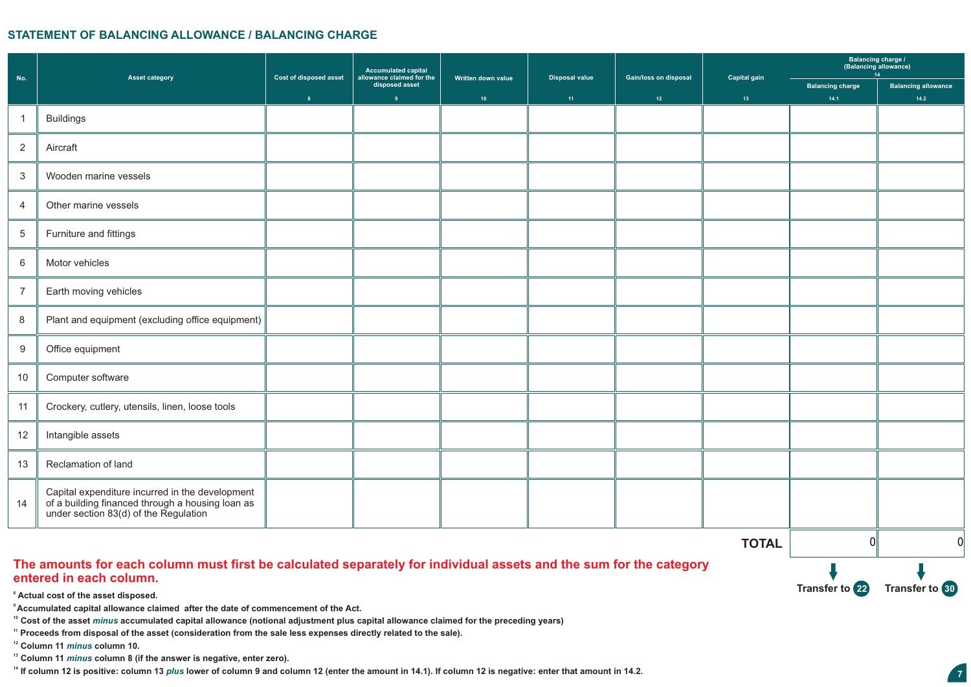### **STATEMENT OF BALANCING ALLOWANCE / BALANCING CHARGE**

|                |                                                                                                                                              | <b>Cost of disposed asset</b> | Accumulated capital<br>allowance claimed for the |                                        | <b>Disposal value</b> | Gain/loss on disposal | Capital gain    | Balancing charge /<br>(Balancing allowance)<br>14 |                                    |
|----------------|----------------------------------------------------------------------------------------------------------------------------------------------|-------------------------------|--------------------------------------------------|----------------------------------------|-----------------------|-----------------------|-----------------|---------------------------------------------------|------------------------------------|
| No.            | <b>Asset category</b>                                                                                                                        | $\mathbf{8}$                  | disposed asset<br>9                              | Written down value<br>10 <sub>10</sub> | 11 <sub>1</sub>       | 12 <sup>7</sup>       | 13 <sup>°</sup> | <b>Balancing charge</b><br>14.1                   | <b>Balancing allowance</b><br>14.2 |
| $\mathbf{1}$   | <b>Buildings</b>                                                                                                                             |                               |                                                  |                                        |                       |                       |                 |                                                   |                                    |
| 2              | Aircraft                                                                                                                                     |                               |                                                  |                                        |                       |                       |                 |                                                   |                                    |
| $\mathbf{3}$   | Wooden marine vessels                                                                                                                        |                               |                                                  |                                        |                       |                       |                 |                                                   |                                    |
| $\overline{4}$ | Other marine vessels                                                                                                                         |                               |                                                  |                                        |                       |                       |                 |                                                   |                                    |
| 5              | Furniture and fittings                                                                                                                       |                               |                                                  |                                        |                       |                       |                 |                                                   |                                    |
| 6              | Motor vehicles                                                                                                                               |                               |                                                  |                                        |                       |                       |                 |                                                   |                                    |
| $\overline{7}$ | Earth moving vehicles                                                                                                                        |                               |                                                  |                                        |                       |                       |                 |                                                   |                                    |
| 8              | Plant and equipment (excluding office equipment)                                                                                             |                               |                                                  |                                        |                       |                       |                 |                                                   |                                    |
| 9              | Office equipment                                                                                                                             |                               |                                                  |                                        |                       |                       |                 |                                                   |                                    |
| 10             | Computer software                                                                                                                            |                               |                                                  |                                        |                       |                       |                 |                                                   |                                    |
| 11             | Crockery, cutlery, utensils, linen, loose tools                                                                                              |                               |                                                  |                                        |                       |                       |                 |                                                   |                                    |
| 12             | Intangible assets                                                                                                                            |                               |                                                  |                                        |                       |                       |                 |                                                   |                                    |
| 13             | Reclamation of land                                                                                                                          |                               |                                                  |                                        |                       |                       |                 |                                                   |                                    |
| 14             | Capital expenditure incurred in the development<br>of a building financed through a housing loan as<br>under section 83(d) of the Regulation |                               |                                                  |                                        |                       |                       |                 |                                                   |                                    |
|                |                                                                                                                                              |                               |                                                  |                                        |                       |                       | <b>TOTAL</b>    | 0                                                 | $\mathbf 0$                        |

## **The amounts for each column must first be calculated separately for individual assets and the sum for the category entered in each column.**

**<sup>8</sup> Actual cost of the asset disposed.**

**<sup>9</sup>Accumulated capital allowance claimed after the date of commencement of the Act.**

**<sup>10</sup>Cost of the asset** *minus* **accumulated capital allowance (notional adjustment plus capital allowance claimed for the preceding years)**

**11 Proceeds from disposal of the asset (consideration from the sale less expenses directly related to the sale).**

**<sup>12</sup>Column 11** *minus* **column 10.**

**<sup>13</sup>Column 11** *minus* **column 8 (if the answer is negative, enter zero).**

**<sup>14</sup>If column 12 is positive: column 13** *plus* **lower of column 9 and column 12 (enter the amount in 14.1). If column 12 is negative: enter that amount in 14.2.**

**Transfer to** 22 **Transfer to 30**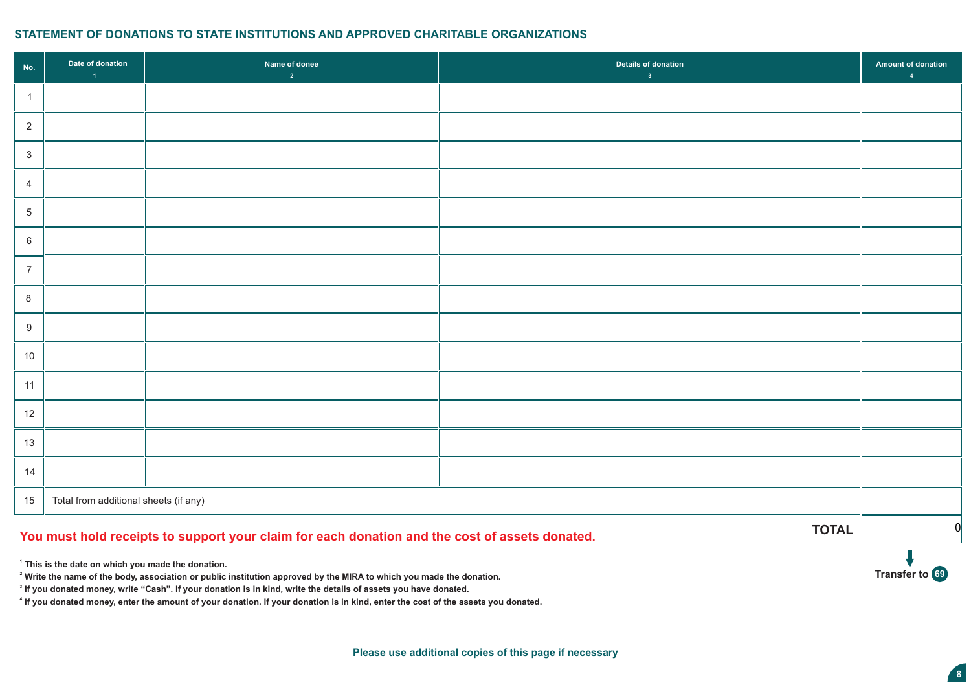# **STATEMENT OF DONATIONS TO STATE INSTITUTIONS AND APPROVED CHARITABLE ORGANIZATIONS**

| No.             | Date of donation<br>$\overline{1}$    | Name of donee<br>$\overline{2}$                                                                | Details of donation<br>3 <sup>7</sup> | <b>Amount of donation</b><br>$\overline{A}$ |
|-----------------|---------------------------------------|------------------------------------------------------------------------------------------------|---------------------------------------|---------------------------------------------|
| $\overline{1}$  |                                       |                                                                                                |                                       |                                             |
| $\overline{2}$  |                                       |                                                                                                |                                       |                                             |
| $\mathbf{3}$    |                                       |                                                                                                |                                       |                                             |
| $\overline{4}$  |                                       |                                                                                                |                                       |                                             |
| $5\phantom{.0}$ |                                       |                                                                                                |                                       |                                             |
| $6\phantom{.}6$ |                                       |                                                                                                |                                       |                                             |
| $\overline{7}$  |                                       |                                                                                                |                                       |                                             |
| 8               |                                       |                                                                                                |                                       |                                             |
| $9\,$           |                                       |                                                                                                |                                       |                                             |
| 10              |                                       |                                                                                                |                                       |                                             |
| 11              |                                       |                                                                                                |                                       |                                             |
| 12              |                                       |                                                                                                |                                       |                                             |
| 13              |                                       |                                                                                                |                                       |                                             |
| 14              |                                       |                                                                                                |                                       |                                             |
| 15              | Total from additional sheets (if any) |                                                                                                |                                       |                                             |
|                 |                                       | You must hold receipts to support your claim for each donation and the cost of assets donated. | <b>TOTAL</b>                          | $\mathbf 0$                                 |

 **This is the date on which you made the donation.**

**Write the name of the body, association or public institution approved by the MIRA to which you made the donation.**

**If you donated money, write "Cash". If your donation is in kind, write the details of assets you have donated.**

 **If you donated money, enter the amount of your donation. If your donation is in kind, enter the cost of the assets you donated.** 

**Transfer to 69**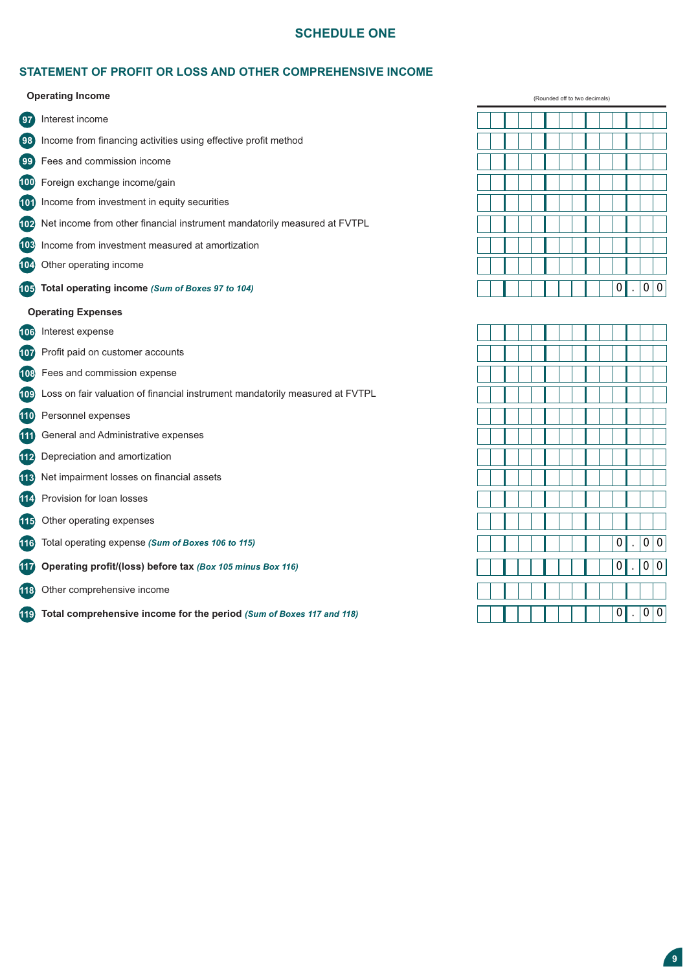# **SCHEDULE ONE**

# **STATEMENT OF PROFIT OR LOSS AND OTHER COMPREHENSIVE INCOME**

 **Operating Income**

| 97         | Interest income                                                              |
|------------|------------------------------------------------------------------------------|
| (98)       | Income from financing activities using effective profit method               |
| (99)       | Fees and commission income                                                   |
| 100        | Foreign exchange income/gain                                                 |
| (101)      | Income from investment in equity securities                                  |
|            | 102 Net income from other financial instrument mandatorily measured at FVTPL |
|            | 103 Income from investment measured at amortization                          |
|            | 104 Other operating income                                                   |
|            | 105 Total operating income (Sum of Boxes 97 to 104)                          |
|            | <b>Operating Expenses</b>                                                    |
|            | 106 Interest expense                                                         |
|            | 107 Profit paid on customer accounts                                         |
|            | 108 Fees and commission expense                                              |
| (109)      | Loss on fair valuation of financial instrument mandatorily measured at FVTPL |
|            | <b>110</b> Personnel expenses                                                |
| <b>111</b> | General and Administrative expenses                                          |
| 112        | Depreciation and amortization                                                |
| (113)      | Net impairment losses on financial assets                                    |
| (114)      | Provision for loan losses                                                    |
| (115)      | Other operating expenses                                                     |
| (116)      | Total operating expense (Sum of Boxes 106 to 115)                            |
| (117)      | Operating profit/(loss) before tax (Box 105 minus Box 116)                   |
| (118)      | Other comprehensive income                                                   |
|            |                                                                              |

**10319 Total comprehensive income for the period** *(Sum of Boxes 117 and 118)*

(Rounded off to two decimals)  $0.00$ 

|  |  |  |  |  | $\boxed{0}$ .    |                      | $\boxed{0}$ $\boxed{0}$ |                |
|--|--|--|--|--|------------------|----------------------|-------------------------|----------------|
|  |  |  |  |  |                  |                      |                         |                |
|  |  |  |  |  | $\overline{0}$   | $\ddot{\phantom{0}}$ | $\overline{0}$          | $\overline{0}$ |
|  |  |  |  |  |                  |                      |                         |                |
|  |  |  |  |  |                  |                      |                         |                |
|  |  |  |  |  |                  |                      |                         |                |
|  |  |  |  |  | $\boldsymbol{0}$ |                      | $\mathbf{0}$            | 0              |
|  |  |  |  |  |                  |                      |                         |                |